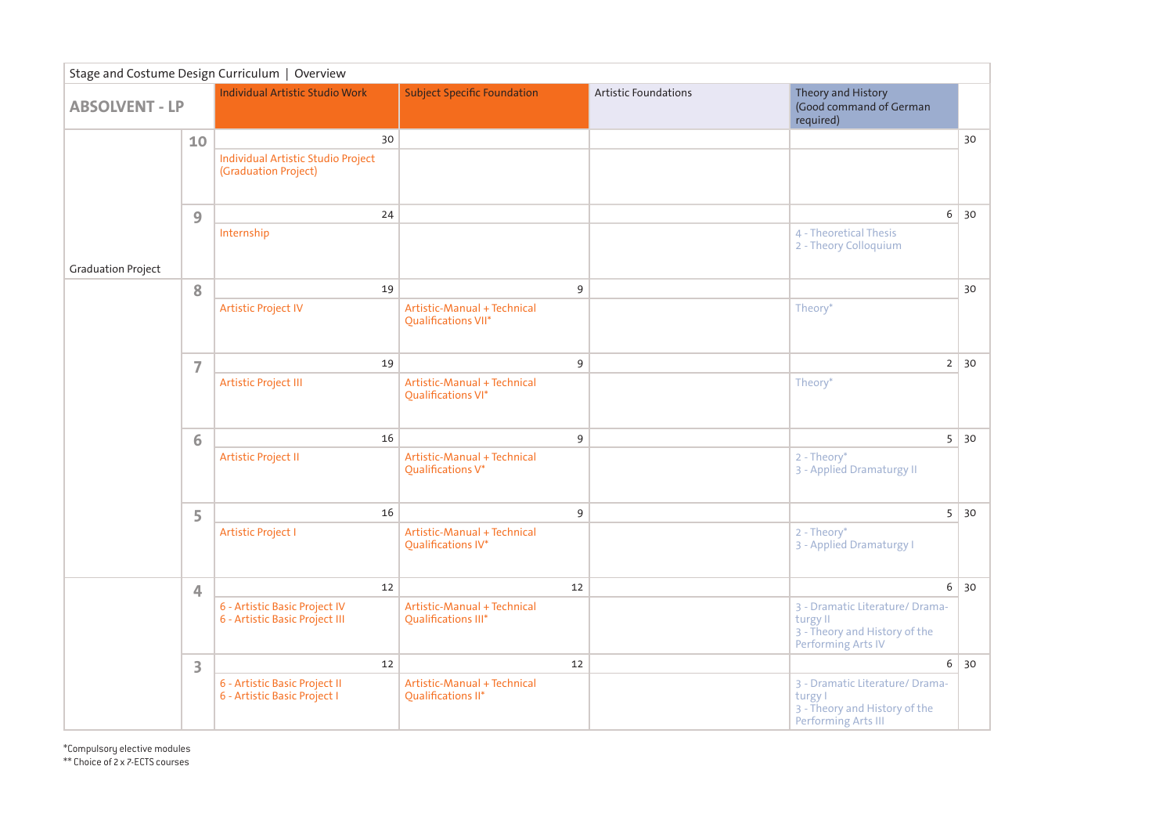|                           |                | Stage and Costume Design Curriculum   Overview                        |                                                                 |                             |                                                                                                         |    |
|---------------------------|----------------|-----------------------------------------------------------------------|-----------------------------------------------------------------|-----------------------------|---------------------------------------------------------------------------------------------------------|----|
| <b>ABSOLVENT - LP</b>     |                | <b>Individual Artistic Studio Work</b>                                | <b>Subject Specific Foundation</b>                              | <b>Artistic Foundations</b> | Theory and History<br>(Good command of German<br>required)                                              |    |
|                           | 10             | 30<br>Individual Artistic Studio Project<br>(Graduation Project)      |                                                                 |                             |                                                                                                         | 30 |
| <b>Graduation Project</b> | 9              | 24<br>Internship                                                      |                                                                 |                             | 6<br>4 - Theoretical Thesis<br>2 - Theory Colloquium                                                    | 30 |
|                           | 8              | 19<br><b>Artistic Project IV</b>                                      | 9<br>Artistic-Manual + Technical<br><b>Qualifications VII*</b>  |                             | Theory*                                                                                                 | 30 |
|                           | $\overline{7}$ | 19<br>Artistic Project III                                            | 9<br>Artistic-Manual + Technical<br><b>Qualifications VI*</b>   |                             | $\overline{2}$<br>Theory*                                                                               | 30 |
|                           | 6              | 16<br>Artistic Project II                                             | 9<br>Artistic-Manual + Technical<br><b>Qualifications V*</b>    |                             | 5<br>$2 - Theory*$<br>3 - Applied Dramaturgy II                                                         | 30 |
|                           | 5              | 16<br>Artistic Project I                                              | 9<br>Artistic-Manual + Technical<br>Qualifications IV*          |                             | 5<br>2 - Theory*<br>3 - Applied Dramaturgy I                                                            | 30 |
|                           | $\overline{4}$ | 12<br>6 - Artistic Basic Project IV<br>6 - Artistic Basic Project III | 12<br>Artistic-Manual + Technical<br><b>Qualifications III*</b> |                             | 6<br>3 - Dramatic Literature/ Drama-<br>turgy II<br>3 - Theory and History of the<br>Performing Arts IV | 30 |
|                           | 3              | 12<br>6 - Artistic Basic Project II<br>6 - Artistic Basic Project I   | 12<br>Artistic-Manual + Technical<br><b>Qualifications II*</b>  |                             | 6<br>3 - Dramatic Literature/ Drama-<br>turgy I<br>3 - Theory and History of the<br>Performing Arts III | 30 |

\*Compulsory elective modules \*\* Choice of 2 x 7-ECTS courses